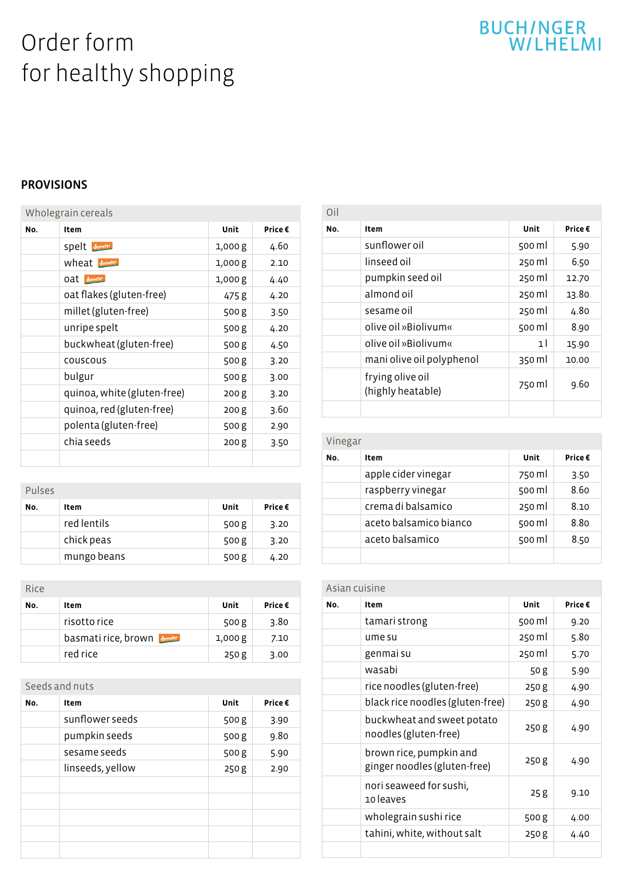# Order form for healthy shopping

# BUCH/NGER<br>W/LHELMI

#### PROVISIONS

| Wholegrain cereals |                             |        |         |
|--------------------|-----------------------------|--------|---------|
| No.                | Item                        | Unit   | Price € |
|                    | Spelt demeter               | 1,000g | 4.60    |
|                    | <b>wheat</b> demeter        | 1,000g | 2.10    |
|                    | Oat demeter                 | 1,000g | 4.40    |
|                    | oat flakes (gluten-free)    | 475 g  | 4.20    |
|                    | millet (gluten-free)        | 500 g  | 3.50    |
|                    | unripe spelt                | 500 g  | 4.20    |
|                    | buckwheat (gluten-free)     | 500 g  | 4.50    |
|                    | couscous                    | 500 g  | 3.20    |
|                    | bulgur                      | 500 g  | 3.00    |
|                    | quinoa, white (gluten-free) | 200g   | 3.20    |
|                    | quinoa, red (gluten-free)   | 200g   | 3.60    |
|                    | polenta (gluten-free)       | 500 g  | 2.90    |
|                    | chia seeds                  | 200g   | 3.50    |
|                    |                             |        |         |

| Pulses |             |       |        |
|--------|-------------|-------|--------|
| No.    | Item        | Unit  | Price€ |
|        | red lentils | 500 g | 3.20   |
|        | chick peas  | 500 g | 3.20   |
|        | mungo beans | 500 g | 4.20   |

| Rice |                           |        |        |
|------|---------------------------|--------|--------|
| No.  | Item                      | Unit   | Price€ |
|      | risotto rice              | 500 g  | 3.80   |
|      | <b>basmatirice, brown</b> | 1,000g | 7.10   |
|      | red rice                  | 250 g  | 3.00   |

#### Seeds and nuts

| No. | Item             | Unit  | Price€ |
|-----|------------------|-------|--------|
|     | sunflower seeds  | 500g  | 3.90   |
|     | pumpkin seeds    | 500g  | 9.80   |
|     | sesame seeds     | 500g  | 5.90   |
|     | linseeds, yellow | 250 g | 2.90   |
|     |                  |       |        |
|     |                  |       |        |
|     |                  |       |        |
|     |                  |       |        |
|     |                  |       |        |

| Oil |                                       |                |         |
|-----|---------------------------------------|----------------|---------|
| No. | Item                                  | Unit           | Price € |
|     | sunflower oil                         | 500 ml         | 5.90    |
|     | linseed oil                           | 250 ml         | 6.50    |
|     | pumpkin seed oil                      | 250 ml         | 12.70   |
|     | almond oil                            | 250 ml         | 13.80   |
|     | sesame oil                            | 250 ml         | 4.80    |
|     | olive oil »Biolivum«                  | 500 ml         | 8.90    |
|     | olive oil »Biolivum«                  | 1 <sup>1</sup> | 15.90   |
|     | mani olive oil polyphenol             | 350 ml         | 10.00   |
|     | frying olive oil<br>(highly heatable) | 750 ml         | 9.60    |
|     |                                       |                |         |

| Vinegar |                        |        |         |
|---------|------------------------|--------|---------|
| No.     | Item                   | Unit   | Price € |
|         | apple cider vinegar    | 750 ml | 3.50    |
|         | raspberry vinegar      | 500 ml | 8.60    |
|         | crema di balsamico     | 250 ml | 8.10    |
|         | aceto balsamico bianco | 500 ml | 8.80    |
|         | aceto balsamico        | 500 ml | 8.50    |
|         |                        |        |         |

| Asian cuisine |                                                         |        |         |
|---------------|---------------------------------------------------------|--------|---------|
| No.           | Item                                                    | Unit   | Price € |
|               | tamari strong                                           | 500 ml | 9.20    |
|               | ume su                                                  | 250 ml | 5.80    |
|               | genmai su                                               | 250 ml | 5.70    |
|               | wasabi                                                  | 50 g   | 5.90    |
|               | rice noodles (gluten-free)                              | 250g   | 4.90    |
|               | black rice noodles (gluten-free)                        | 250g   | 4.90    |
|               | buckwheat and sweet potato<br>noodles (gluten-free)     | 250g   | 4.90    |
|               | brown rice, pumpkin and<br>ginger noodles (gluten-free) | 250 g  | 4.90    |
|               | nori seaweed for sushi,<br>10 leaves                    | 25 g   | 9.10    |
|               | wholegrain sushi rice                                   | 500 g  | 4.00    |
|               | tahini, white, without salt                             | 250 g  | 4.40    |
|               |                                                         |        |         |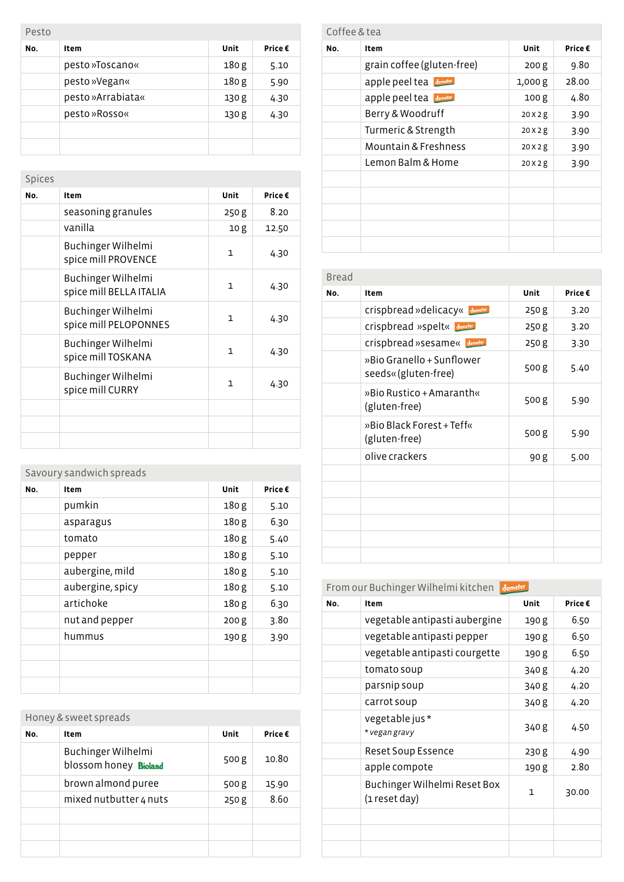| Pesto |                         |                  |      |  |  |
|-------|-------------------------|------------------|------|--|--|
| No.   | Unit<br>Price €<br>Item |                  |      |  |  |
|       | pesto »Toscano«         | 180 <sub>g</sub> | 5.10 |  |  |
|       | pesto »Vegan«           | 180 <sub>g</sub> | 5.90 |  |  |
|       | pesto »Arrabiata«       | 130 g            | 4.30 |  |  |
|       | pesto »Rosso«           | 130 g            | 4.30 |  |  |
|       |                         |                  |      |  |  |
|       |                         |                  |      |  |  |

| Spices |                                               |              |         |
|--------|-----------------------------------------------|--------------|---------|
| No.    | Item                                          | Unit         | Price € |
|        | seasoning granules                            | 250 g        | 8.20    |
|        | vanilla                                       | 10g          | 12.50   |
|        | Buchinger Wilhelmi<br>spice mill PROVENCE     | $\mathbf{1}$ | 4.30    |
|        | Buchinger Wilhelmi<br>spice mill BELLA ITALIA | 1            | 4.30    |
|        | Buchinger Wilhelmi<br>spice mill PELOPONNES   | $\mathbf{1}$ | 4.30    |
|        | Buchinger Wilhelmi<br>spice mill TOSKANA      | $\mathbf{1}$ | 4.30    |
|        | Buchinger Wilhelmi<br>spice mill CURRY        | $\mathbf{1}$ | 4.30    |
|        |                                               |              |         |
|        |                                               |              |         |
|        |                                               |              |         |

| Savoury sandwich spreads |                  |                  |         |
|--------------------------|------------------|------------------|---------|
| No.                      | Item             | Unit             | Price € |
|                          | pumkin           | 180 g            | 5.10    |
|                          | asparagus        | 180 g            | 6.30    |
|                          | tomato           | 180 g            | 5.40    |
|                          | pepper           | 180 g            | 5.10    |
|                          | aubergine, mild  | 180g             | 5.10    |
|                          | aubergine, spicy | 180 g            | 5.10    |
|                          | artichoke        | 180 g            | 6.30    |
|                          | nut and pepper   | 200 <sub>g</sub> | 3.80    |
|                          | hummus           | 190 g            | 3.90    |
|                          |                  |                  |         |
|                          |                  |                  |         |
|                          |                  |                  |         |

| Honey & sweet spreads |                                             |       |        |
|-----------------------|---------------------------------------------|-------|--------|
| No.                   | Item                                        | Unit  | Price€ |
|                       | Buchinger Wilhelmi<br>blossom honey Bioland | 500 g | 10.80  |
|                       | brown almond puree                          | 500 g | 15.90  |
|                       | mixed nutbutter 4 nuts                      | 250 g | 8.60   |
|                       |                                             |       |        |
|                       |                                             |       |        |
|                       |                                             |       |        |

| Coffee & tea |                            |                  |         |  |
|--------------|----------------------------|------------------|---------|--|
| No.          | Item                       | <b>Unit</b>      | Price € |  |
|              | grain coffee (gluten-free) | 200g             | 9.80    |  |
|              | apple peel tea demeter     | 1,000 g          | 28.00   |  |
|              | apple peel tea             | 100 <sub>g</sub> | 4.80    |  |
|              | Berry & Woodruff           | 20 X 2 g         | 3.90    |  |
|              | Turmeric & Strength        | 20X2g            | 3.90    |  |
|              | Mountain & Freshness       | 20X2g            | 3.90    |  |
|              | Lemon Balm & Home          | 20X2g            | 3.90    |  |
|              |                            |                  |         |  |
|              |                            |                  |         |  |
|              |                            |                  |         |  |
|              |                            |                  |         |  |
|              |                            |                  |         |  |

| Bread |                                                   |       |         |
|-------|---------------------------------------------------|-------|---------|
| No.   | Item                                              | Unit  | Price € |
|       | Crispbread »delicacy« Jemeter                     | 250g  | 3.20    |
|       | Crispbread »spelt« demeter                        | 250 g | 3.20    |
|       | Crispbread »sesame« Jemeter                       | 250 g | 3.30    |
|       | »Bio Granello + Sunflower<br>seeds« (gluten-free) | 500 g | 5.40    |
|       | »Bio Rustico + Amaranth«<br>(gluten-free)         | 500 g | 5.90    |
|       | »Bio Black Forest + Teff«<br>(gluten-free)        | 500 g | 5.90    |
|       | olive crackers                                    | 90 g  | 5.00    |
|       |                                                   |       |         |
|       |                                                   |       |         |
|       |                                                   |       |         |
|       |                                                   |       |         |
|       |                                                   |       |         |
|       |                                                   |       |         |

#### From our Buchinger Wilhelmi kitchen

| No. | Item                                          | Unit  | Price € |
|-----|-----------------------------------------------|-------|---------|
|     | vegetable antipasti aubergine                 | 190 g | 6.50    |
|     | vegetable antipasti pepper                    | 190 g | 6.50    |
|     | vegetable antipasti courgette                 | 190 g | 6.50    |
|     | tomato soup                                   | 340 g | 4.20    |
|     | parsnip soup                                  | 340 g | 4.20    |
|     | carrot soup                                   | 340 g | 4.20    |
|     | vegetable jus*<br>* vegan gravy               | 340 g | 4.50    |
|     | <b>Reset Soup Essence</b>                     | 230 g | 4.90    |
|     | apple compote                                 | 190 g | 2.80    |
|     | Buchinger Wilhelmi Reset Box<br>(1 reset day) | 1     | 30.00   |
|     |                                               |       |         |
|     |                                               |       |         |
|     |                                               |       |         |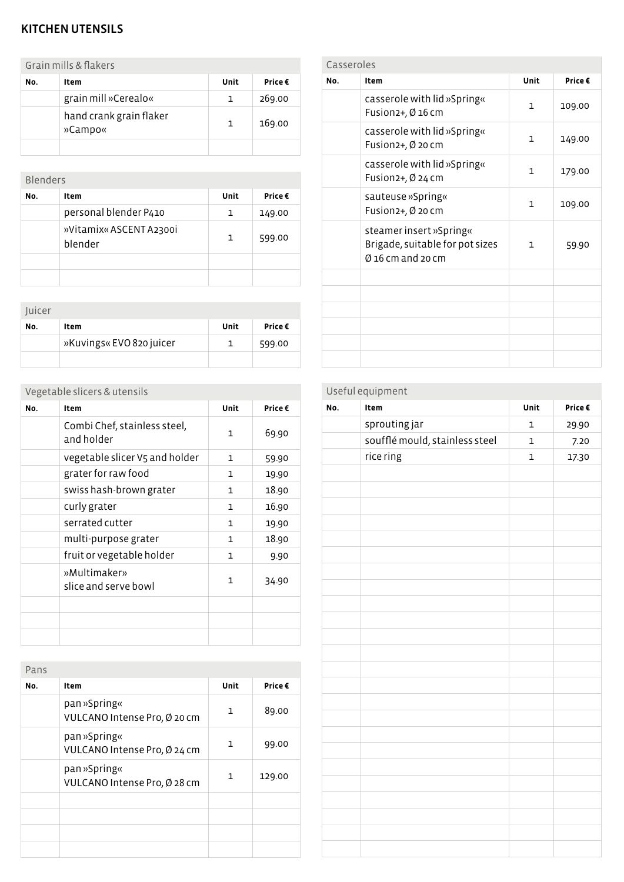#### KITCHEN UTENSILS

Grain mills & flakers

| No. | Item                               | Unit | Price € |
|-----|------------------------------------|------|---------|
|     | grain mill »Cerealo«               | 1.   | 269.00  |
|     | hand crank grain flaker<br>»Campo« | 1.   | 169.00  |
|     |                                    |      |         |

| <b>Blenders</b> |                                    |      |         |
|-----------------|------------------------------------|------|---------|
| No.             | Item                               | Unit | Price € |
|                 | personal blender P410              | 1    | 149.00  |
|                 | »Vitamix« ASCENT A2300i<br>blender | 1    | 599.00  |
|                 |                                    |      |         |
|                 |                                    |      |         |

| Juicer |                          |      |        |
|--------|--------------------------|------|--------|
| No.    | Item                     | Unit | Price€ |
|        | »Kuvings« EVO 820 juicer |      | 599.00 |
|        |                          |      |        |

## Vegetable slicers & utensils

| No. | Item                                       | Unit | Price € |
|-----|--------------------------------------------|------|---------|
|     | Combi Chef, stainless steel,<br>and holder | 1    | 69.90   |
|     | vegetable slicer V5 and holder             | 1    | 59.90   |
|     | grater for raw food                        | 1    | 19.90   |
|     | swiss hash-brown grater                    | 1    | 18.90   |
|     | curly grater                               | 1    | 16.90   |
|     | serrated cutter                            | 1    | 19.90   |
|     | multi-purpose grater                       | 1    | 18.90   |
|     | fruit or vegetable holder                  | 1    | 9.90    |
|     | »Multimaker»<br>slice and serve bowl       | 1    | 34.90   |
|     |                                            |      |         |
|     |                                            |      |         |
|     |                                            |      |         |

| Pans |                                              |      |         |
|------|----------------------------------------------|------|---------|
| No.  | Item                                         | Unit | Price € |
|      | pan »Spring«<br>VULCANO Intense Pro, Ø 20 cm | 1    | 89.00   |
|      | pan »Spring«<br>VULCANO Intense Pro, Ø 24 cm | 1    | 99.00   |
|      | pan »Spring«<br>VULCANO Intense Pro, Ø 28 cm | 1    | 129.00  |
|      |                                              |      |         |
|      |                                              |      |         |
|      |                                              |      |         |
|      |                                              |      |         |

| Casseroles |                                                                                   |              |         |
|------------|-----------------------------------------------------------------------------------|--------------|---------|
| No.        | Item                                                                              | Unit         | Price € |
|            | casserole with lid »Spring«<br>Fusion2+, Ø 16 cm                                  | $\mathbf{1}$ | 109.00  |
|            | casserole with lid »Spring«<br>Fusion2+, Ø 20 cm                                  | $\mathbf{1}$ | 149.00  |
|            | casserole with lid »Spring«<br>Fusion2+, Ø 24 cm                                  | $\mathbf{1}$ | 179.00  |
|            | sauteuse »Spring«<br>Fusion2+, Ø 20 cm                                            | $\mathbf{1}$ | 109.00  |
|            | steamer insert »Spring«<br>Brigade, suitable for pot sizes<br>$Ø$ 16 cm and 20 cm | $\mathbf{1}$ | 59.90   |
|            |                                                                                   |              |         |
|            |                                                                                   |              |         |
|            |                                                                                   |              |         |
|            |                                                                                   |              |         |
|            |                                                                                   |              |         |
|            |                                                                                   |              |         |

## Useful equipment

| No. | Item                           | Unit         | Price $\boldsymbol{\epsilon}$ |
|-----|--------------------------------|--------------|-------------------------------|
|     | sprouting jar                  | $\mathbf 1$  | 29.90                         |
|     | soufflé mould, stainless steel | $\mathbf{1}$ | 7.20                          |
|     | rice ring                      | $\mathbf 1$  | 17.30                         |
|     |                                |              |                               |
|     |                                |              |                               |
|     |                                |              |                               |
|     |                                |              |                               |
|     |                                |              |                               |
|     |                                |              |                               |
|     |                                |              |                               |
|     |                                |              |                               |
|     |                                |              |                               |
|     |                                |              |                               |
|     |                                |              |                               |
|     |                                |              |                               |
|     |                                |              |                               |
|     |                                |              |                               |
|     |                                |              |                               |
|     |                                |              |                               |
|     |                                |              |                               |
|     |                                |              |                               |
|     |                                |              |                               |
|     |                                |              |                               |
|     |                                |              |                               |
|     |                                |              |                               |
|     |                                |              |                               |
|     |                                |              |                               |